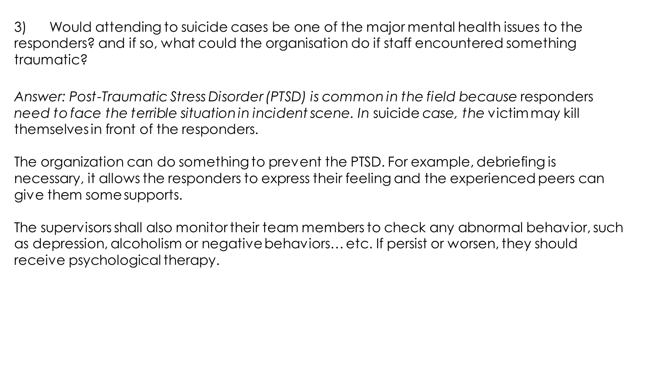3) Would attending to suicide cases be one of the major mental health issues to the responders? and if so, what could the organisation do if staff encountered something traumatic?

*Answer: Post-Traumatic Stress Disorder (PTSD) is common in the field because* responders *need to face the terrible situation in incident scene. In* suicide *case, the* victim may kill themselves in front of the responders.

The organization can do something to prevent the PTSD. For example, debriefing is necessary, it allows the responders to express their feeling and the experienced peers can give them some supports.

The supervisors shall also monitor their team members to check any abnormal behavior, such as depression, alcoholism or negative behaviors… etc. If persist or worsen, they should receive psychological therapy.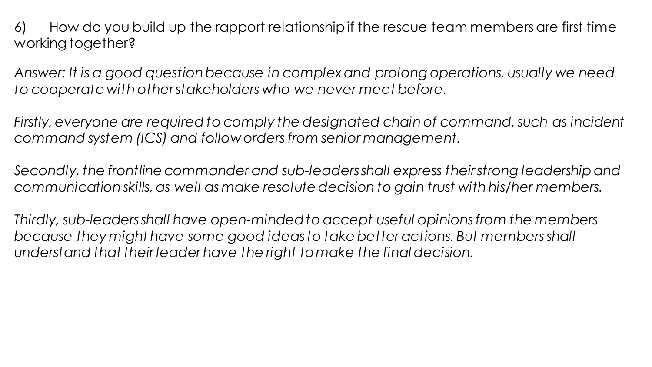6) How do you build up the rapport relationship if the rescue team members are first time working together?

*Answer: It is a good question because in complex and prolong operations, usually we need to cooperate with other stakeholders who we never meet before.* 

*Firstly, everyone are required to comply the designated chain of command, such as incident command system (ICS) and follow orders from senior management.*

*Secondly, the frontline commander and sub-leaders shall express their strong leadership and communication skills, as well as make resolute decision to gain trust with his/her members.*

*Thirdly, sub-leaders shall have open-minded to accept useful opinions from the members because they might have some good ideas to take better actions. But members shall understand that their leader have the right to make the final decision.*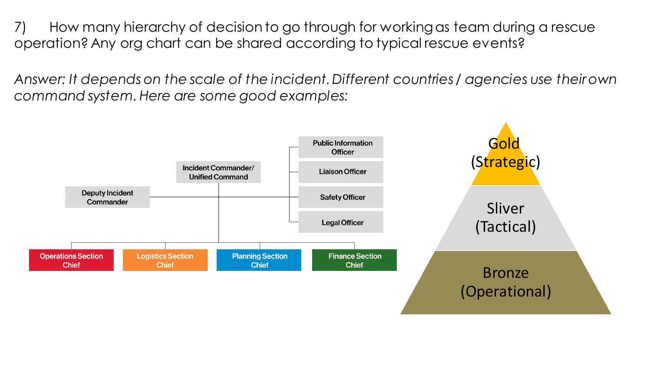7) How many hierarchy of decision to go through for working as team during a rescue operation? Any org chart can be shared according to typical rescue events?

*Answer: It depends on the scale of the incident. Different countries / agencies use their own command system. Here are some good examples:*

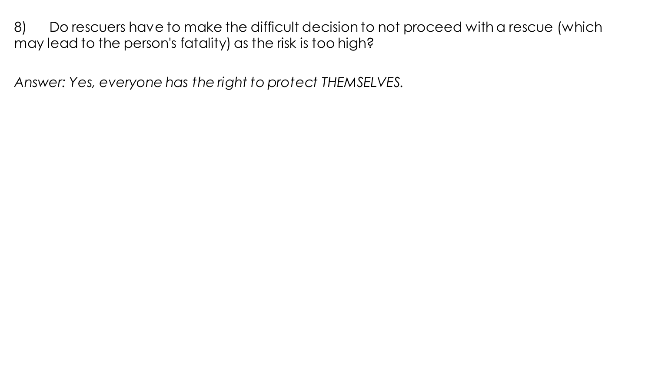8) Do rescuers have to make the difficult decision to not proceed with a rescue (which may lead to the person's fatality) as the risk is too high?

*Answer: Yes, everyone has the right to protect THEMSELVES.*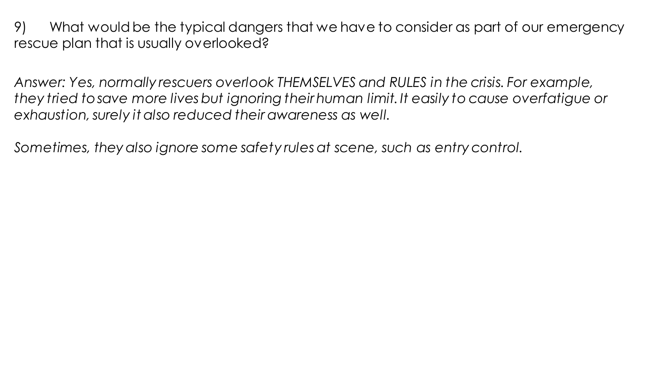9) What would be the typical dangers that we have to consider as part of our emergency rescue plan that is usually overlooked?

*Answer: Yes, normally rescuers overlook THEMSELVES and RULES in the crisis. For example, they tried to save more lives but ignoring their human limit.It easily to cause overfatigue or exhaustion, surely it also reduced their awareness as well.*

*Sometimes, they also ignore some safety rules at scene, such as entry control.*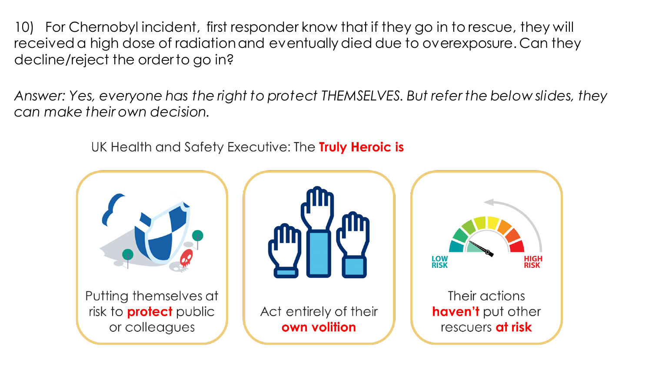10) For Chernobyl incident, first responder know that if they go in to rescue, they will received a high dose of radiation and eventually died due to overexposure. Can they decline/reject the order to go in?

*Answer: Yes, everyone has the right to protect THEMSELVES. But refer the below slides, they can make their own decision.* 

UK Health and Safety Executive: The Truly Heroic is